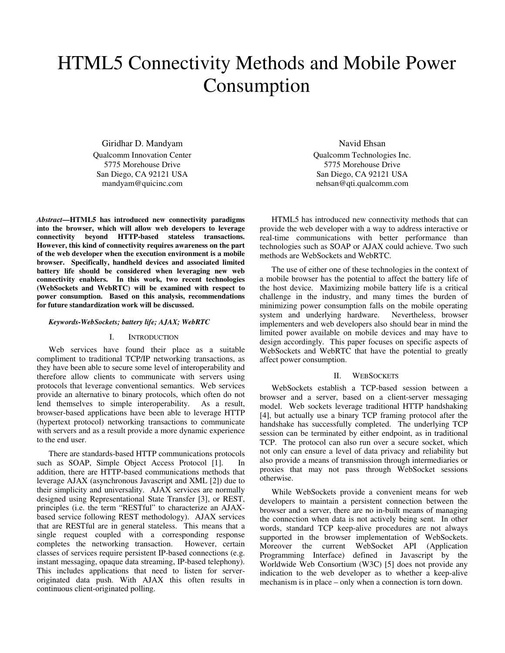# HTML5 Connectivity Methods and Mobile Power Consumption

Giridhar D. Mandyam Qualcomm Innovation Center 5775 Morehouse Drive San Diego, CA 92121 USA mandyam@quicinc.com

*Abstract***—HTML5 has introduced new connectivity paradigms into the browser, which will allow web developers to leverage connectivity beyond HTTP-based stateless transactions. However, this kind of connectivity requires awareness on the part of the web developer when the execution environment is a mobile browser. Specifically, handheld devices and associated limited battery life should be considered when leveraging new web connectivity enablers. In this work, two recent technologies (WebSockets and WebRTC) will be examined with respect to power consumption. Based on this analysis, recommendations for future standardization work will be discussed.** 

#### *Keywords-WebSockets; battery life; AJAX; WebRTC*

#### I. INTRODUCTION

Web services have found their place as a suitable compliment to traditional TCP/IP networking transactions, as they have been able to secure some level of interoperability and therefore allow clients to communicate with servers using protocols that leverage conventional semantics. Web services provide an alternative to binary protocols, which often do not lend themselves to simple interoperability. As a result, browser-based applications have been able to leverage HTTP (hypertext protocol) networking transactions to communicate with servers and as a result provide a more dynamic experience to the end user.

There are standards-based HTTP communications protocols such as SOAP, Simple Object Access Protocol [1]. In addition, there are HTTP-based communications methods that leverage AJAX (asynchronous Javascript and XML [2]) due to their simplicity and universality. AJAX services are normally designed using Representational State Transfer [3], or REST, principles (i.e. the term "RESTful" to characterize an AJAXbased service following REST methodology). AJAX services that are RESTful are in general stateless. This means that a single request coupled with a corresponding response completes the networking transaction. However, certain classes of services require persistent IP-based connections (e.g. instant messaging, opaque data streaming, IP-based telephony). This includes applications that need to listen for serveroriginated data push. With AJAX this often results in continuous client-originated polling.

Navid Ehsan Qualcomm Technologies Inc. 5775 Morehouse Drive San Diego, CA 92121 USA nehsan@qti.qualcomm.com

HTML5 has introduced new connectivity methods that can provide the web developer with a way to address interactive or real-time communications with better performance than technologies such as SOAP or AJAX could achieve. Two such methods are WebSockets and WebRTC.

The use of either one of these technologies in the context of a mobile browser has the potential to affect the battery life of the host device. Maximizing mobile battery life is a critical challenge in the industry, and many times the burden of minimizing power consumption falls on the mobile operating system and underlying hardware. Nevertheless, browser implementers and web developers also should bear in mind the limited power available on mobile devices and may have to design accordingly. This paper focuses on specific aspects of WebSockets and WebRTC that have the potential to greatly affect power consumption.

#### II. WEBSOCKETS

WebSockets establish a TCP-based session between a browser and a server, based on a client-server messaging model. Web sockets leverage traditional HTTP handshaking [4], but actually use a binary TCP framing protocol after the handshake has successfully completed. The underlying TCP session can be terminated by either endpoint, as in traditional TCP. The protocol can also run over a secure socket, which not only can ensure a level of data privacy and reliability but also provide a means of transmission through intermediaries or proxies that may not pass through WebSocket sessions otherwise.

While WebSockets provide a convenient means for web developers to maintain a persistent connection between the browser and a server, there are no in-built means of managing the connection when data is not actively being sent. In other words, standard TCP keep-alive procedures are not always supported in the browser implementation of WebSockets. Moreover the current WebSocket API (Application Programming Interface) defined in Javascript by the Worldwide Web Consortium (W3C) [5] does not provide any indication to the web developer as to whether a keep-alive mechanism is in place – only when a connection is torn down.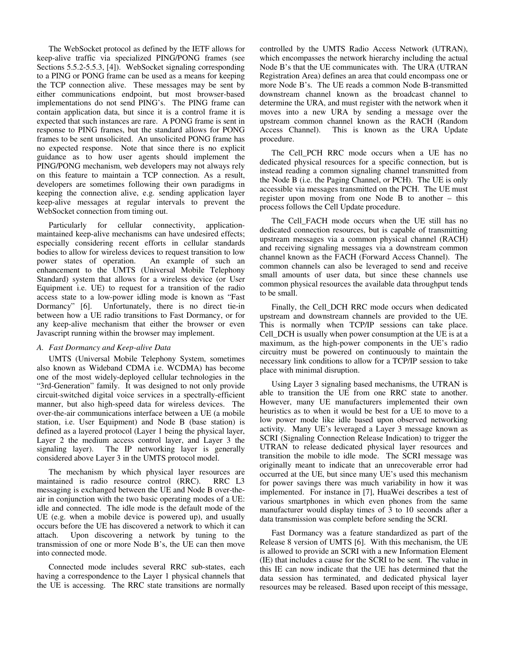The WebSocket protocol as defined by the IETF allows for keep-alive traffic via specialized PING/PONG frames (see Sections 5.5.2-5.5.3, [4]). WebSocket signaling corresponding to a PING or PONG frame can be used as a means for keeping the TCP connection alive. These messages may be sent by either communications endpoint, but most browser-based implementations do not send PING's. The PING frame can contain application data, but since it is a control frame it is expected that such instances are rare. A PONG frame is sent in response to PING frames, but the standard allows for PONG frames to be sent unsolicited. An unsolicited PONG frame has no expected response. Note that since there is no explicit guidance as to how user agents should implement the PING/PONG mechanism, web developers may not always rely on this feature to maintain a TCP connection. As a result, developers are sometimes following their own paradigms in keeping the connection alive, e.g. sending application layer keep-alive messages at regular intervals to prevent the WebSocket connection from timing out.

Particularly for cellular connectivity, applicationmaintained keep-alive mechanisms can have undesired effects; especially considering recent efforts in cellular standards bodies to allow for wireless devices to request transition to low power states of operation. An example of such an enhancement to the UMTS (Universal Mobile Telephony Standard) system that allows for a wireless device (or User Equipment i.e. UE) to request for a transition of the radio access state to a low-power idling mode is known as "Fast Dormancy" [6]. Unfortunately, there is no direct tie-in between how a UE radio transitions to Fast Dormancy, or for any keep-alive mechanism that either the browser or even Javascript running within the browser may implement.

## *A. Fast Dormancy and Keep-alive Data*

UMTS (Universal Mobile Telephony System, sometimes also known as Wideband CDMA i.e. WCDMA) has become one of the most widely-deployed cellular technologies in the "3rd-Generation" family. It was designed to not only provide circuit-switched digital voice services in a spectrally-efficient manner, but also high-speed data for wireless devices. The over-the-air communications interface between a UE (a mobile station, i.e. User Equipment) and Node B (base station) is defined as a layered protocol (Layer 1 being the physical layer, Layer 2 the medium access control layer, and Layer 3 the signaling layer). The IP networking layer is generally The IP networking layer is generally considered above Layer 3 in the UMTS protocol model.

The mechanism by which physical layer resources are maintained is radio resource control (RRC). RRC L3 messaging is exchanged between the UE and Node B over-theair in conjunction with the two basic operating modes of a UE: idle and connected. The idle mode is the default mode of the UE (e.g. when a mobile device is powered up), and usually occurs before the UE has discovered a network to which it can attach. Upon discovering a network by tuning to the transmission of one or more Node B's, the UE can then move into connected mode.

Connected mode includes several RRC sub-states, each having a correspondence to the Layer 1 physical channels that the UE is accessing. The RRC state transitions are normally controlled by the UMTS Radio Access Network (UTRAN), which encompasses the network hierarchy including the actual Node B's that the UE communicates with. The URA (UTRAN Registration Area) defines an area that could encompass one or more Node B's. The UE reads a common Node B-transmitted downstream channel known as the broadcast channel to determine the URA, and must register with the network when it moves into a new URA by sending a message over the upstream common channel known as the RACH (Random Access Channel). This is known as the URA Update procedure.

The Cell\_PCH RRC mode occurs when a UE has no dedicated physical resources for a specific connection, but is instead reading a common signaling channel transmitted from the Node B (i.e. the Paging Channel, or PCH). The UE is only accessible via messages transmitted on the PCH. The UE must register upon moving from one Node B to another – this process follows the Cell Update procedure.

The Cell\_FACH mode occurs when the UE still has no dedicated connection resources, but is capable of transmitting upstream messages via a common physical channel (RACH) and receiving signaling messages via a downstream common channel known as the FACH (Forward Access Channel). The common channels can also be leveraged to send and receive small amounts of user data, but since these channels use common physical resources the available data throughput tends to be small.

Finally, the Cell\_DCH RRC mode occurs when dedicated upstream and downstream channels are provided to the UE. This is normally when TCP/IP sessions can take place. Cell\_DCH is usually when power consumption at the UE is at a maximum, as the high-power components in the UE's radio circuitry must be powered on continuously to maintain the necessary link conditions to allow for a TCP/IP session to take place with minimal disruption.

Using Layer 3 signaling based mechanisms, the UTRAN is able to transition the UE from one RRC state to another. However, many UE manufacturers implemented their own heuristics as to when it would be best for a UE to move to a low power mode like idle based upon observed networking activity. Many UE's leveraged a Layer 3 message known as SCRI (Signaling Connection Release Indication) to trigger the UTRAN to release dedicated physical layer resources and transition the mobile to idle mode. The SCRI message was originally meant to indicate that an unrecoverable error had occurred at the UE, but since many UE's used this mechanism for power savings there was much variability in how it was implemented. For instance in [7], HuaWei describes a test of various smartphones in which even phones from the same manufacturer would display times of 3 to 10 seconds after a data transmission was complete before sending the SCRI.

Fast Dormancy was a feature standardized as part of the Release 8 version of UMTS [6]. With this mechanism, the UE is allowed to provide an SCRI with a new Information Element (IE) that includes a cause for the SCRI to be sent. The value in this IE can now indicate that the UE has determined that the data session has terminated, and dedicated physical layer resources may be released. Based upon receipt of this message,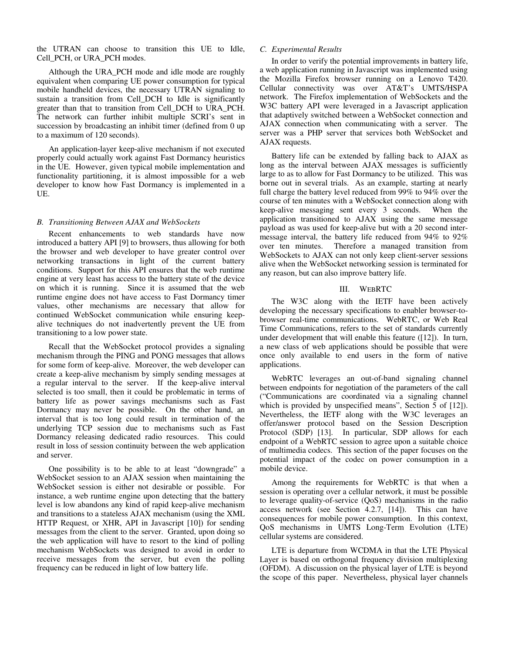the UTRAN can choose to transition this UE to Idle, Cell\_PCH, or URA\_PCH modes.

Although the URA\_PCH mode and idle mode are roughly equivalent when comparing UE power consumption for typical mobile handheld devices, the necessary UTRAN signaling to sustain a transition from Cell\_DCH to Idle is significantly greater than that to transition from Cell\_DCH to URA\_PCH. The network can further inhibit multiple SCRI's sent in succession by broadcasting an inhibit timer (defined from 0 up to a maximum of 120 seconds).

An application-layer keep-alive mechanism if not executed properly could actually work against Fast Dormancy heuristics in the UE. However, given typical mobile implementation and functionality partitioning, it is almost impossible for a web developer to know how Fast Dormancy is implemented in a UE.

## *B. Transitioning Between AJAX and WebSockets*

Recent enhancements to web standards have now introduced a battery API [9] to browsers, thus allowing for both the browser and web developer to have greater control over networking transactions in light of the current battery conditions. Support for this API ensures that the web runtime engine at very least has access to the battery state of the device on which it is running. Since it is assumed that the web runtime engine does not have access to Fast Dormancy timer values, other mechanisms are necessary that allow for continued WebSocket communication while ensuring keepalive techniques do not inadvertently prevent the UE from transitioning to a low power state.

Recall that the WebSocket protocol provides a signaling mechanism through the PING and PONG messages that allows for some form of keep-alive. Moreover, the web developer can create a keep-alive mechanism by simply sending messages at a regular interval to the server. If the keep-alive interval selected is too small, then it could be problematic in terms of battery life as power savings mechanisms such as Fast Dormancy may never be possible. On the other hand, an interval that is too long could result in termination of the underlying TCP session due to mechanisms such as Fast Dormancy releasing dedicated radio resources. This could result in loss of session continuity between the web application and server.

One possibility is to be able to at least "downgrade" a WebSocket session to an AJAX session when maintaining the WebSocket session is either not desirable or possible. For instance, a web runtime engine upon detecting that the battery level is low abandons any kind of rapid keep-alive mechanism and transitions to a stateless AJAX mechanism (using the XML HTTP Request, or XHR, API in Javascript [10]) for sending messages from the client to the server. Granted, upon doing so the web application will have to resort to the kind of polling mechanism WebSockets was designed to avoid in order to receive messages from the server, but even the polling frequency can be reduced in light of low battery life.

#### *C. Experimental Results*

In order to verify the potential improvements in battery life, a web application running in Javascript was implemented using the Mozilla Firefox browser running on a Lenovo T420. Cellular connectivity was over AT&T's UMTS/HSPA network. The Firefox implementation of WebSockets and the W3C battery API were leveraged in a Javascript application that adaptively switched between a WebSocket connection and AJAX connection when communicating with a server. The server was a PHP server that services both WebSocket and AJAX requests.

Battery life can be extended by falling back to AJAX as long as the interval between AJAX messages is sufficiently large to as to allow for Fast Dormancy to be utilized. This was borne out in several trials. As an example, starting at nearly full charge the battery level reduced from 99% to 94% over the course of ten minutes with a WebSocket connection along with keep-alive messaging sent every 3 seconds. When the application transitioned to AJAX using the same message payload as was used for keep-alive but with a 20 second intermessage interval, the battery life reduced from 94% to 92% over ten minutes. Therefore a managed transition from WebSockets to AJAX can not only keep client-server sessions alive when the WebSocket networking session is terminated for any reason, but can also improve battery life.

### III. WEBRTC

The W3C along with the IETF have been actively developing the necessary specifications to enabler browser-tobrowser real-time communications. WebRTC, or Web Real Time Communications, refers to the set of standards currently under development that will enable this feature ([12]). In turn, a new class of web applications should be possible that were once only available to end users in the form of native applications.

WebRTC leverages an out-of-band signaling channel between endpoints for negotiation of the parameters of the call ("Communications are coordinated via a signaling channel which is provided by unspecified means", Section 5 of [12]). Nevertheless, the IETF along with the W3C leverages an offer/answer protocol based on the Session Description Protocol (SDP) [13]. In particular, SDP allows for each endpoint of a WebRTC session to agree upon a suitable choice of multimedia codecs. This section of the paper focuses on the potential impact of the codec on power consumption in a mobile device.

Among the requirements for WebRTC is that when a session is operating over a cellular network, it must be possible to leverage quality-of-service (QoS) mechanisms in the radio access network (see Section 4.2.7, [14]). This can have consequences for mobile power consumption. In this context, QoS mechanisms in UMTS Long-Term Evolution (LTE) cellular systems are considered.

LTE is departure from WCDMA in that the LTE Physical Layer is based on orthogonal frequency division multiplexing (OFDM). A discussion on the physical layer of LTE is beyond the scope of this paper. Nevertheless, physical layer channels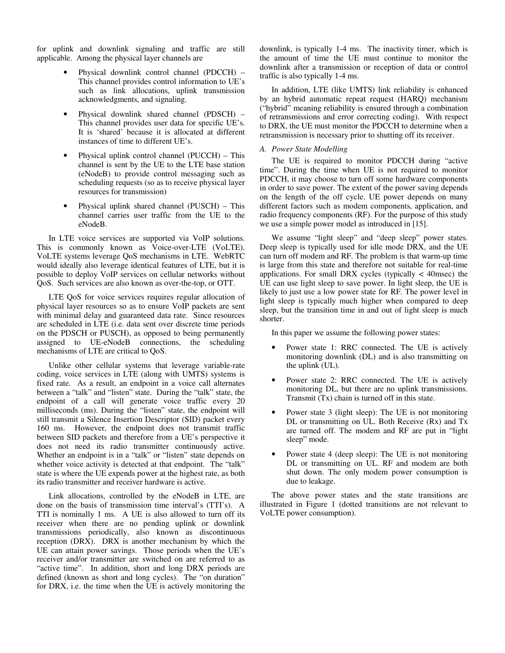for uplink and downlink signaling and traffic are still applicable. Among the physical layer channels are

- Physical downlink control channel (PDCCH) This channel provides control information to UE's such as link allocations, uplink transmission acknowledgments, and signaling.
- Physical downlink shared channel (PDSCH) This channel provides user data for specific UE's. It is 'shared' because it is allocated at different instances of time to different UE's.
- Physical uplink control channel (PUCCH) This channel is sent by the UE to the LTE base station (eNodeB) to provide control messaging such as scheduling requests (so as to receive physical layer resources for transmission)
- Physical uplink shared channel (PUSCH) This channel carries user traffic from the UE to the eNodeB.

In LTE voice services are supported via VoIP solutions. This is commonly known as Voice-over-LTE (VoLTE). VoLTE systems leverage QoS mechanisms in LTE. WebRTC would ideally also leverage identical features of LTE, but it is possible to deploy VoIP services on cellular networks without QoS. Such services are also known as over-the-top, or OTT.

LTE QoS for voice services requires regular allocation of physical layer resources so as to ensure VoIP packets are sent with minimal delay and guaranteed data rate. Since resources are scheduled in LTE (i.e. data sent over discrete time periods on the PDSCH or PUSCH), as opposed to being permanently assigned to UE-eNodeB connections, the scheduling mechanisms of LTE are critical to QoS.

Unlike other cellular systems that leverage variable-rate coding, voice services in LTE (along with UMTS) systems is fixed rate. As a result, an endpoint in a voice call alternates between a "talk" and "listen" state. During the "talk" state, the endpoint of a call will generate voice traffic every 20 milliseconds (ms). During the "listen" state, the endpoint will still transmit a Silence Insertion Descriptor (SID) packet every 160 ms. However, the endpoint does not transmit traffic between SID packets and therefore from a UE's perspective it does not need its radio transmitter continuously active. Whether an endpoint is in a "talk" or "listen" state depends on whether voice activity is detected at that endpoint. The "talk" state is where the UE expends power at the highest rate, as both its radio transmitter and receiver hardware is active.

Link allocations, controlled by the eNodeB in LTE, are done on the basis of transmission time interval's (TTI's). A TTI is nominally 1 ms. A UE is also allowed to turn off its receiver when there are no pending uplink or downlink transmissions periodically, also known as discontinuous reception (DRX). DRX is another mechanism by which the UE can attain power savings. Those periods when the UE's receiver and/or transmitter are switched on are referred to as "active time". In addition, short and long DRX periods are defined (known as short and long cycles). The "on duration" for DRX, i.e. the time when the UE is actively monitoring the

downlink, is typically 1-4 ms. The inactivity timer, which is the amount of time the UE must continue to monitor the downlink after a transmission or reception of data or control traffic is also typically 1-4 ms.

In addition, LTE (like UMTS) link reliability is enhanced by an hybrid automatic repeat request (HARQ) mechanism ("hybrid" meaning reliability is ensured through a combination of retransmissions and error correcting coding). With respect to DRX, the UE must monitor the PDCCH to determine when a retransmission is necessary prior to shutting off its receiver.

## *A. Power State Modelling*

The UE is required to monitor PDCCH during "active time". During the time when UE is not required to monitor PDCCH, it may choose to turn off some hardware components in order to save power. The extent of the power saving depends on the length of the off cycle. UE power depends on many different factors such as modem components, application, and radio frequency components (RF). For the purpose of this study we use a simple power model as introduced in [15].

We assume "light sleep" and "deep sleep" power states. Deep sleep is typically used for idle mode DRX, and the UE can turn off modem and RF. The problem is that warm-up time is large from this state and therefore not suitable for real-time applications. For small DRX cycles (typically  $\lt$  40msec) the UE can use light sleep to save power. In light sleep, the UE is likely to just use a low power state for RF. The power level in light sleep is typically much higher when compared to deep sleep, but the transition time in and out of light sleep is much shorter.

In this paper we assume the following power states:

- Power state 1: RRC connected. The UE is actively monitoring downlink (DL) and is also transmitting on the uplink (UL).
- Power state 2: RRC connected. The UE is actively monitoring DL, but there are no uplink transmissions. Transmit (Tx) chain is turned off in this state.
- Power state 3 (light sleep): The UE is not monitoring DL or transmitting on UL. Both Receive (Rx) and Tx are turned off. The modem and RF are put in "light sleep" mode.
- Power state 4 (deep sleep): The UE is not monitoring DL or transmitting on UL. RF and modem are both shut down. The only modem power consumption is due to leakage.

The above power states and the state transitions are illustrated in Figure 1 (dotted transitions are not relevant to VoLTE power consumption).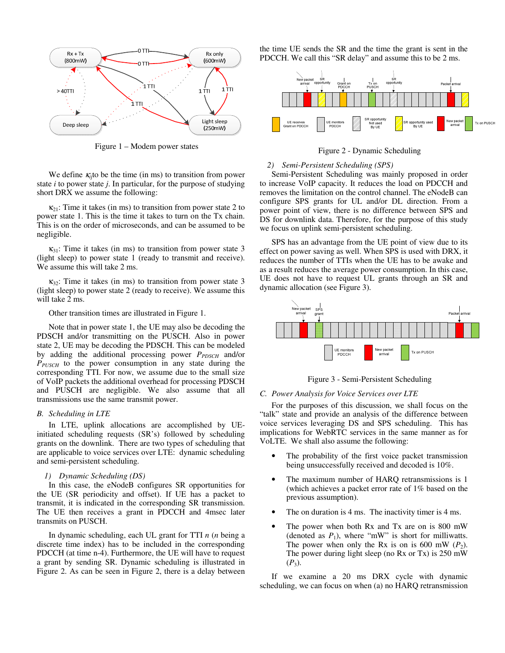

Figure 1 – Modem power states

We define  $\kappa_{i,j}$  to be the time (in ms) to transition from power state *i* to power state *j*. In particular, for the purpose of studying short DRX we assume the following:

 $\kappa_{21}$ : Time it takes (in ms) to transition from power state 2 to power state 1. This is the time it takes to turn on the Tx chain. This is on the order of microseconds, and can be assumed to be negligible.

 $\kappa_{31}$ : Time it takes (in ms) to transition from power state 3 (light sleep) to power state 1 (ready to transmit and receive). We assume this will take 2 ms.

 $\kappa_{32}$ : Time it takes (in ms) to transition from power state 3 (light sleep) to power state 2 (ready to receive). We assume this will take 2 ms.

Other transition times are illustrated in Figure 1.

Note that in power state 1, the UE may also be decoding the PDSCH and/or transmitting on the PUSCH. Also in power state 2, UE may be decoding the PDSCH. This can be modeled by adding the additional processing power *P*<sub>*PDSCH*</sub> and/or *PPUSCH* to the power consumption in any state during the corresponding TTI. For now, we assume due to the small size of VoIP packets the additional overhead for processing PDSCH and PUSCH are negligible. We also assume that all transmissions use the same transmit power.

## *B. Scheduling in LTE*

In LTE, uplink allocations are accomplished by UEinitiated scheduling requests (SR's) followed by scheduling grants on the downlink. There are two types of scheduling that are applicable to voice services over LTE: dynamic scheduling and semi-persistent scheduling.

## *1) Dynamic Scheduling (DS)*

In this case, the eNodeB configures SR opportunities for the UE (SR periodicity and offset). If UE has a packet to transmit, it is indicated in the corresponding SR transmission. The UE then receives a grant in PDCCH and 4msec later transmits on PUSCH.

In dynamic scheduling, each UL grant for TTI *n* (*n* being a discrete time index) has to be included in the corresponding PDCCH (at time n-4). Furthermore, the UE will have to request a grant by sending SR. Dynamic scheduling is illustrated in Figure 2. As can be seen in Figure 2, there is a delay between the time UE sends the SR and the time the grant is sent in the PDCCH. We call this "SR delay" and assume this to be 2 ms.



Figure 2 - Dynamic Scheduling

## *2) Semi-Persistent Scheduling (SPS)*

Semi-Persistent Scheduling was mainly proposed in order to increase VoIP capacity. It reduces the load on PDCCH and removes the limitation on the control channel. The eNodeB can configure SPS grants for UL and/or DL direction. From a power point of view, there is no difference between SPS and DS for downlink data. Therefore, for the purpose of this study we focus on uplink semi-persistent scheduling.

SPS has an advantage from the UE point of view due to its effect on power saving as well. When SPS is used with DRX, it reduces the number of TTIs when the UE has to be awake and as a result reduces the average power consumption. In this case, UE does not have to request UL grants through an SR and dynamic allocation (see Figure 3).



Figure 3 - Semi-Persistent Scheduling

## *C. Power Analysis for Voice Services over LTE*

For the purposes of this discussion, we shall focus on the "talk" state and provide an analysis of the difference between voice services leveraging DS and SPS scheduling. This has implications for WebRTC services in the same manner as for VoLTE. We shall also assume the following:

- The probability of the first voice packet transmission being unsuccessfully received and decoded is 10%.
- The maximum number of HARQ retransmissions is 1 (which achieves a packet error rate of 1% based on the previous assumption).
- The on duration is 4 ms. The inactivity timer is 4 ms.
- The power when both Rx and Tx are on is 800 mW (denoted as  $P_1$ ), where "mW" is short for milliwatts. The power when only the Rx is on is 600 mW  $(P_2)$ . The power during light sleep (no Rx or Tx) is 250 mW  $(P_3)$ .

If we examine a 20 ms DRX cycle with dynamic scheduling, we can focus on when (a) no HARQ retransmission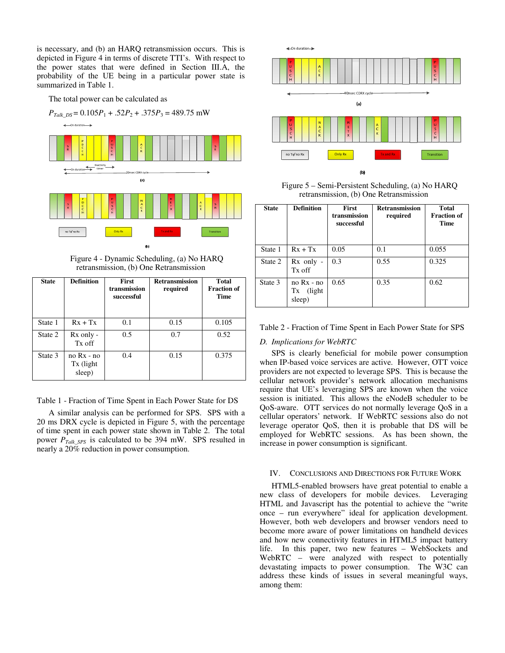is necessary, and (b) an HARQ retransmission occurs. This is depicted in Figure 4 in terms of discrete TTI's. With respect to the power states that were defined in Section III.A, the probability of the UE being in a particular power state is summarized in Table 1.

The total power can be calculated as



Figure 4 - Dynamic Scheduling, (a) No HARQ retransmission, (b) One Retransmission

| <b>State</b> | <b>Definition</b>                    | <b>First</b><br>transmission<br>successful | <b>Retransmission</b><br>required | <b>Total</b><br><b>Fraction of</b><br><b>Time</b> |
|--------------|--------------------------------------|--------------------------------------------|-----------------------------------|---------------------------------------------------|
| State 1      | $Rx + Tx$                            | 0.1                                        | 0.15                              | 0.105                                             |
| State 2      | Rx only -<br>Tx off                  | 0.5                                        | 0.7                               | 0.52                                              |
| State 3      | $no Rx - no$<br>Tx (light)<br>sleep) | 0.4                                        | 0.15                              | 0.375                                             |

Table 1 - Fraction of Time Spent in Each Power State for DS

A similar analysis can be performed for SPS. SPS with a 20 ms DRX cycle is depicted in Figure 5, with the percentage of time spent in each power state shown in Table 2. The total power *PTalk\_SPS* is calculated to be 394 mW. SPS resulted in nearly a 20% reduction in power consumption.



Figure 5 – Semi-Persistent Scheduling, (a) No HARQ retransmission, (b) One Retransmission

| <b>State</b> | <b>Definition</b>                     | <b>First</b><br>transmission<br>successful | <b>Retransmission</b><br>required | <b>Total</b><br><b>Fraction of</b><br>Time |
|--------------|---------------------------------------|--------------------------------------------|-----------------------------------|--------------------------------------------|
| State 1      | $Rx + Tx$                             | 0.05                                       | 0.1                               | 0.055                                      |
| State 2      | $Rx$ only -<br>Tx off                 | 0.3                                        | 0.55                              | 0.325                                      |
| State 3      | no Rx - no<br>(light)<br>Tx<br>sleep) | 0.65                                       | 0.35                              | 0.62                                       |

Table 2 - Fraction of Time Spent in Each Power State for SPS

## *D. Implications for WebRTC*

SPS is clearly beneficial for mobile power consumption when IP-based voice services are active. However, OTT voice providers are not expected to leverage SPS. This is because the cellular network provider's network allocation mechanisms require that UE's leveraging SPS are known when the voice session is initiated. This allows the eNodeB scheduler to be QoS-aware. OTT services do not normally leverage QoS in a cellular operators' network. If WebRTC sessions also do not leverage operator QoS, then it is probable that DS will be employed for WebRTC sessions. As has been shown, the increase in power consumption is significant.

## IV. CONCLUSIONS AND DIRECTIONS FOR FUTURE WORK

HTML5-enabled browsers have great potential to enable a new class of developers for mobile devices. Leveraging HTML and Javascript has the potential to achieve the "write once – run everywhere" ideal for application development. However, both web developers and browser vendors need to become more aware of power limitations on handheld devices and how new connectivity features in HTML5 impact battery life. In this paper, two new features – WebSockets and WebRTC – were analyzed with respect to potentially devastating impacts to power consumption. The W3C can address these kinds of issues in several meaningful ways, among them: